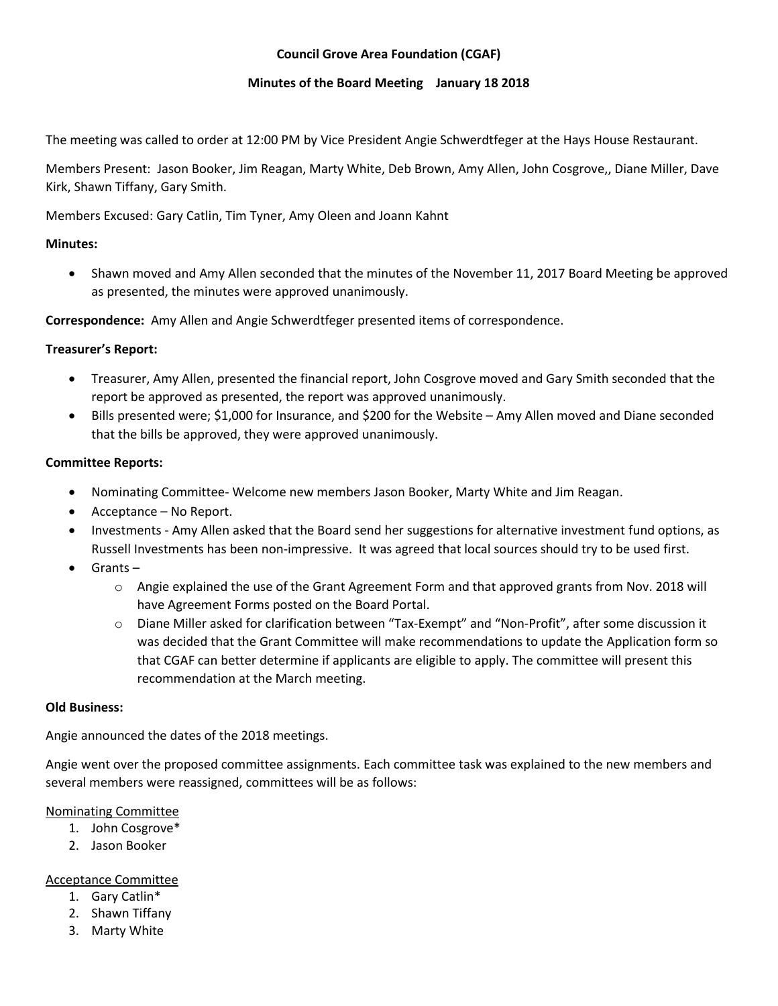# **Council Grove Area Foundation (CGAF)**

#### **Minutes of the Board Meeting January 18 2018**

The meeting was called to order at 12:00 PM by Vice President Angie Schwerdtfeger at the Hays House Restaurant.

Members Present: Jason Booker, Jim Reagan, Marty White, Deb Brown, Amy Allen, John Cosgrove,, Diane Miller, Dave Kirk, Shawn Tiffany, Gary Smith.

Members Excused: Gary Catlin, Tim Tyner, Amy Oleen and Joann Kahnt

## **Minutes:**

 Shawn moved and Amy Allen seconded that the minutes of the November 11, 2017 Board Meeting be approved as presented, the minutes were approved unanimously.

**Correspondence:** Amy Allen and Angie Schwerdtfeger presented items of correspondence.

# **Treasurer's Report:**

- Treasurer, Amy Allen, presented the financial report, John Cosgrove moved and Gary Smith seconded that the report be approved as presented, the report was approved unanimously.
- Bills presented were; \$1,000 for Insurance, and \$200 for the Website Amy Allen moved and Diane seconded that the bills be approved, they were approved unanimously.

# **Committee Reports:**

- Nominating Committee- Welcome new members Jason Booker, Marty White and Jim Reagan.
- Acceptance No Report.
- Investments Amy Allen asked that the Board send her suggestions for alternative investment fund options, as Russell Investments has been non-impressive. It was agreed that local sources should try to be used first.
- Grants
	- o Angie explained the use of the Grant Agreement Form and that approved grants from Nov. 2018 will have Agreement Forms posted on the Board Portal.
	- o Diane Miller asked for clarification between "Tax-Exempt" and "Non-Profit", after some discussion it was decided that the Grant Committee will make recommendations to update the Application form so that CGAF can better determine if applicants are eligible to apply. The committee will present this recommendation at the March meeting.

#### **Old Business:**

Angie announced the dates of the 2018 meetings.

Angie went over the proposed committee assignments. Each committee task was explained to the new members and several members were reassigned, committees will be as follows:

#### Nominating Committee

- 1. John Cosgrove\*
- 2. Jason Booker

#### Acceptance Committee

- 1. Gary Catlin\*
- 2. Shawn Tiffany
- 3. Marty White